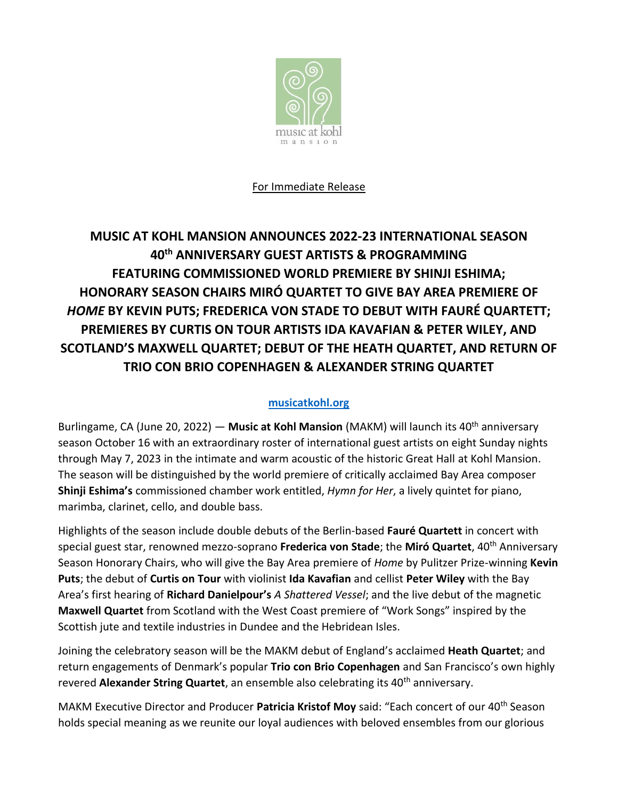

#### For Immediate Release

# **MUSIC AT KOHL MANSION ANNOUNCES 2022-23 INTERNATIONAL SEASON 40th ANNIVERSARY GUEST ARTISTS & PROGRAMMING FEATURING COMMISSIONED WORLD PREMIERE BY SHINJI ESHIMA; HONORARY SEASON CHAIRS MIRÓ QUARTET TO GIVE BAY AREA PREMIERE OF**  *HOME* **BY KEVIN PUTS; FREDERICA VON STADE TO DEBUT WITH FAURÉ QUARTETT; PREMIERES BY CURTIS ON TOUR ARTISTS IDA KAVAFIAN & PETER WILEY, AND SCOTLAND'S MAXWELL QUARTET; DEBUT OF THE HEATH QUARTET, AND RETURN OF TRIO CON BRIO COPENHAGEN & ALEXANDER STRING QUARTET**

#### **[musicatkohl.org](http://www.musicatkohl.org/)**

Burlingame, CA (June 20, 2022) — Music at Kohl Mansion (MAKM) will launch its 40<sup>th</sup> anniversary season October 16 with an extraordinary roster of international guest artists on eight Sunday nights through May 7, 2023 in the intimate and warm acoustic of the historic Great Hall at Kohl Mansion. The season will be distinguished by the world premiere of critically acclaimed Bay Area composer **Shinji Eshima's** commissioned chamber work entitled, *Hymn for Her*, a lively quintet for piano, marimba, clarinet, cello, and double bass.

Highlights of the season include double debuts of the Berlin-based **Fauré Quartett** in concert with special guest star, renowned mezzo-soprano **Frederica von Stade**; the **Miró Quartet**, 40th Anniversary Season Honorary Chairs, who will give the Bay Area premiere of *Home* by Pulitzer Prize-winning **Kevin Puts**; the debut of **Curtis on Tour** with violinist **Ida Kavafian** and cellist **Peter Wiley** with the Bay Area's first hearing of **Richard Danielpour's** *A Shattered Vessel*; and the live debut of the magnetic **Maxwell Quartet** from Scotland with the West Coast premiere of "Work Songs" inspired by the Scottish jute and textile industries in Dundee and the Hebridean Isles.

Joining the celebratory season will be the MAKM debut of England's acclaimed **Heath Quartet**; and return engagements of Denmark's popular **Trio con Brio Copenhagen** and San Francisco's own highly revered **Alexander String Quartet**, an ensemble also celebrating its 40<sup>th</sup> anniversary.

MAKM Executive Director and Producer **Patricia Kristof Moy** said: "Each concert of our 40th Season holds special meaning as we reunite our loyal audiences with beloved ensembles from our glorious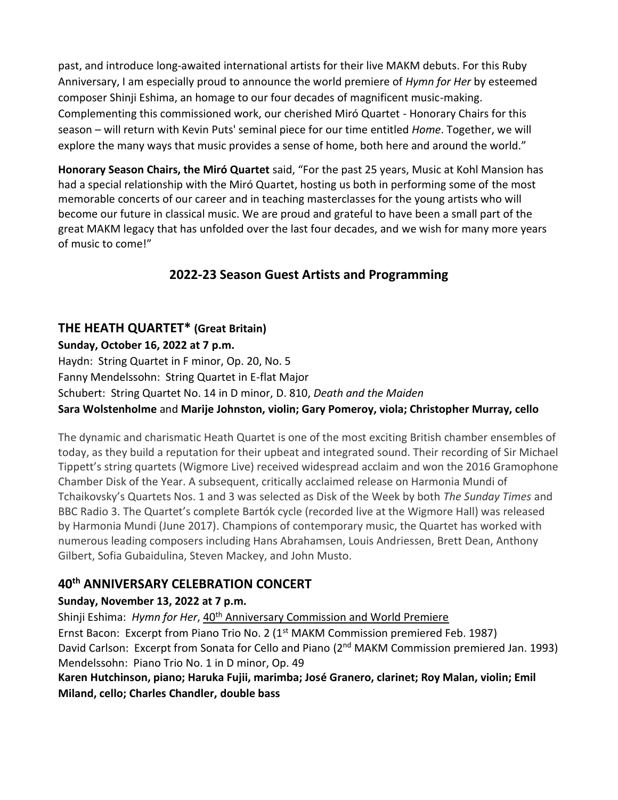past, and introduce long-awaited international artists for their live MAKM debuts. For this Ruby Anniversary, I am especially proud to announce the world premiere of *Hymn for Her* by esteemed composer Shinji Eshima, an homage to our four decades of magnificent music-making. Complementing this commissioned work, our cherished Miró Quartet - Honorary Chairs for this season – will return with Kevin Puts' seminal piece for our time entitled *Home*. Together, we will explore the many ways that music provides a sense of home, both here and around the world."

**Honorary Season Chairs, the Miró Quartet** said, "For the past 25 years, Music at Kohl Mansion has had a special relationship with the Miró Quartet, hosting us both in performing some of the most memorable concerts of our career and in teaching masterclasses for the young artists who will become our future in classical music. We are proud and grateful to have been a small part of the great MAKM legacy that has unfolded over the last four decades, and we wish for many more years of music to come!"

## **2022-23 Season Guest Artists and Programming**

## **THE HEATH QUARTET\* (Great Britain)**

#### **Sunday, October 16, 2022 at 7 p.m.**

Haydn: String Quartet in F minor, Op. 20, No. 5 Fanny Mendelssohn: String Quartet in E-flat Major Schubert: String Quartet No. 14 in D minor, D. 810, *Death and the Maiden* **Sara Wolstenholme** and **Marije Johnston, violin; Gary Pomeroy, viola; Christopher Murray, cello**

The dynamic and charismatic Heath Quartet is one of the most exciting British chamber ensembles of today, as they build a reputation for their upbeat and integrated sound. Their recording of Sir Michael Tippett's string quartets (Wigmore Live) received widespread acclaim and won the 2016 Gramophone Chamber Disk of the Year. A subsequent, critically acclaimed release on Harmonia Mundi of Tchaikovsky's Quartets Nos. 1 and 3 was selected as Disk of the Week by both *The Sunday Times* and BBC Radio 3. The Quartet's complete Bartók cycle (recorded live at the Wigmore Hall) was released by Harmonia Mundi (June 2017). Champions of contemporary music, the Quartet has worked with numerous leading composers including Hans Abrahamsen, Louis Andriessen, Brett Dean, Anthony Gilbert, Sofia Gubaidulina, Steven Mackey, and John Musto.

## **40th ANNIVERSARY CELEBRATION CONCERT**

### **Sunday, November 13, 2022 at 7 p.m.**

Shinji Eshima: *Hymn for Her*, 40<sup>th</sup> Anniversary Commission and World Premiere Ernst Bacon: Excerpt from Piano Trio No. 2 (1<sup>st</sup> MAKM Commission premiered Feb. 1987) David Carlson: Excerpt from Sonata for Cello and Piano (2<sup>nd</sup> MAKM Commission premiered Jan. 1993) Mendelssohn: Piano Trio No. 1 in D minor, Op. 49

**Karen Hutchinson, piano; Haruka Fujii, marimba; José Granero, clarinet; Roy Malan, violin; Emil Miland, cello; Charles Chandler, double bass**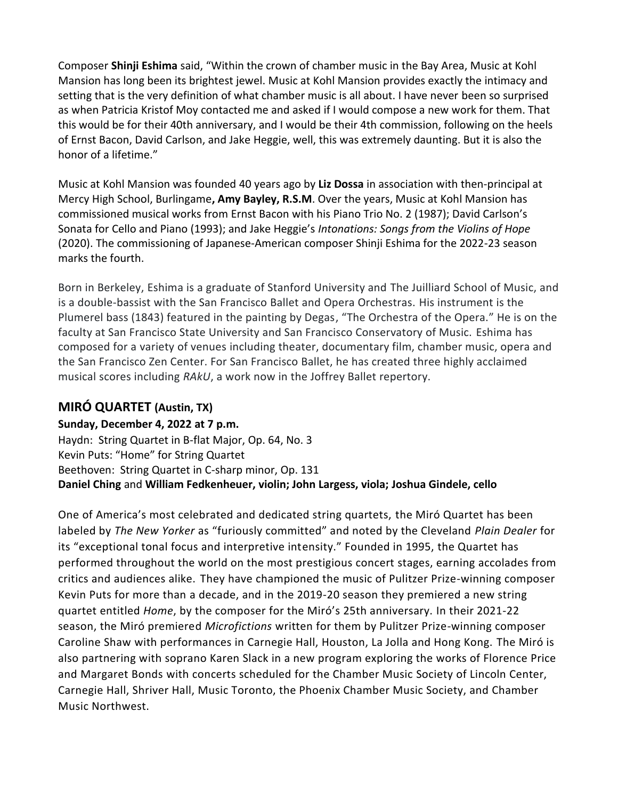Composer **Shinji Eshima** said, "Within the crown of chamber music in the Bay Area, Music at Kohl Mansion has long been its brightest jewel. Music at Kohl Mansion provides exactly the intimacy and setting that is the very definition of what chamber music is all about. I have never been so surprised as when Patricia Kristof Moy contacted me and asked if I would compose a new work for them. That this would be for their 40th anniversary, and I would be their 4th commission, following on the heels of Ernst Bacon, David Carlson, and Jake Heggie, well, this was extremely daunting. But it is also the honor of a lifetime."

Music at Kohl Mansion was founded 40 years ago by **Liz Dossa** in association with then-principal at Mercy High School, Burlingame**, Amy Bayley, R.S.M**. Over the years, Music at Kohl Mansion has commissioned musical works from Ernst Bacon with his Piano Trio No. 2 (1987); David Carlson's Sonata for Cello and Piano (1993); and Jake Heggie's *Intonations: Songs from the Violins of Hope* (2020). The commissioning of Japanese-American composer Shinji Eshima for the 2022-23 season marks the fourth.

Born in Berkeley, Eshima is a graduate of Stanford University and The Juilliard School of Music, and is a double-bassist with the San Francisco Ballet and Opera Orchestras. His instrument is the Plumerel bass (1843) featured in the painting by Degas, "The Orchestra of the Opera." He is on the faculty at San Francisco State University and San Francisco Conservatory of Music. Eshima has composed for a variety of venues including theater, documentary film, chamber music, opera and the San Francisco Zen Center. For San Francisco Ballet, he has created three highly acclaimed musical scores including *RAkU*, a work now in the Joffrey Ballet repertory.

## **MIRÓ QUARTET (Austin, TX)**

### **Sunday, December 4, 2022 at 7 p.m.**

Haydn: String Quartet in B-flat Major, Op. 64, No. 3 Kevin Puts: "Home" for String Quartet Beethoven: String Quartet in C-sharp minor, Op. 131 **Daniel Ching** and **William Fedkenheuer, violin; John Largess, viola; Joshua Gindele, cello**

One of America's most celebrated and dedicated string quartets, the Miró Quartet has been labeled by *The New Yorker* as "furiously committed" and noted by the Cleveland *Plain Dealer* for its "exceptional tonal focus and interpretive intensity." Founded in 1995, the Quartet has performed throughout the world on the most prestigious concert stages, earning accolades from critics and audiences alike. They have championed the music of Pulitzer Prize-winning composer Kevin Puts for more than a decade, and in the 2019-20 season they premiered a new string quartet entitled *Home*, by the composer for the Miró's 25th anniversary. In their 2021-22 season, the Miró premiered *Microfictions* written for them by Pulitzer Prize-winning composer Caroline Shaw with performances in Carnegie Hall, Houston, La Jolla and Hong Kong. The Miró is also partnering with soprano Karen Slack in a new program exploring the works of Florence Price and Margaret Bonds with concerts scheduled for the Chamber Music Society of Lincoln Center, Carnegie Hall, Shriver Hall, Music Toronto, the Phoenix Chamber Music Society, and Chamber Music Northwest.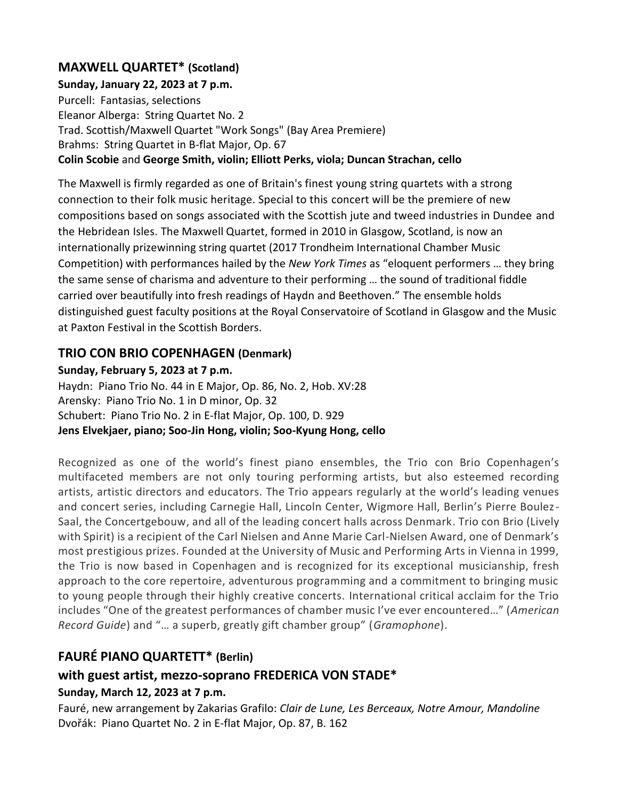### **MAXWELL QUARTET\* (Scotland)**

#### **Sunday, January 22, 2023 at 7 p.m.**

Purcell: Fantasias, selections Eleanor Alberga: String Quartet No. 2 Trad. Scottish/Maxwell Quartet "Work Songs" (Bay Area Premiere) Brahms: String Quartet in B-flat Major, Op. 67 **Colin Scobie** and **George Smith, violin; Elliott Perks, viola; Duncan Strachan, cello**

The Maxwell is firmly regarded as one of Britain's finest young string quartets with a strong connection to their folk music heritage. Special to this concert will be the premiere of new compositions based on songs associated with the Scottish jute and tweed industries in Dundee and the Hebridean Isles. The Maxwell Quartet, formed in 2010 in Glasgow, Scotland, is now an internationally prizewinning string quartet (2017 Trondheim International Chamber Music Competition) with performances hailed by the *New York Times* as "eloquent performers … they bring the same sense of charisma and adventure to their performing … the sound of traditional fiddle carried over beautifully into fresh readings of Haydn and Beethoven." The ensemble holds distinguished guest faculty positions at the Royal Conservatoire of Scotland in Glasgow and the Music at Paxton Festival in the Scottish Borders.

#### **TRIO CON BRIO COPENHAGEN (Denmark)**

#### **Sunday, February 5, 2023 at 7 p.m.**

Haydn: Piano Trio No. 44 in E Major, Op. 86, No. 2, Hob. XV:28 Arensky: Piano Trio No. 1 in D minor, Op. 32 Schubert: Piano Trio No. 2 in E-flat Major, Op. 100, D. 929 **Jens Elvekjaer, piano; Soo-Jin Hong, violin; Soo-Kyung Hong, cello**

Recognized as one of the world's finest piano ensembles, the Trio con Brio Copenhagen's multifaceted members are not only touring performing artists, but also esteemed recording artists, artistic directors and educators. The Trio appears regularly at the world's leading venues and concert series, including Carnegie Hall, Lincoln Center, Wigmore Hall, Berlin's Pierre Boulez-Saal, the Concertgebouw, and all of the leading concert halls across Denmark. Trio con Brio (Lively with Spirit) is a recipient of the Carl Nielsen and Anne Marie Carl-Nielsen Award, one of Denmark's most prestigious prizes. Founded at the University of Music and Performing Arts in Vienna in 1999, the Trio is now based in Copenhagen and is recognized for its exceptional musicianship, fresh approach to the core repertoire, adventurous programming and a commitment to bringing music to young people through their highly creative concerts. International critical acclaim for the Trio includes "One of the greatest performances of chamber music I've ever encountered…" (*American Record Guide*) and "… a superb, greatly gift chamber group" (*Gramophone*).

### **FAURÉ PIANO QUARTETT\* (Berlin)**

## **with guest artist, mezzo-soprano FREDERICA VON STADE\***

#### **Sunday, March 12, 2023 at 7 p.m.**

Fauré, new arrangement by Zakarias Grafilo: *Clair de Lune, Les Berceaux, Notre Amour, Mandoline* Dvořák: Piano Quartet No. 2 in E-flat Major, Op. 87, B. 162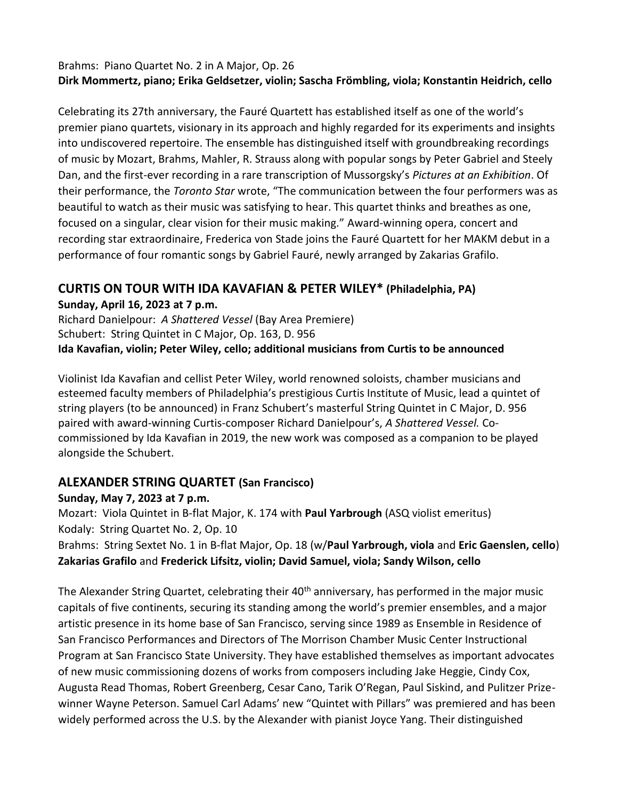#### Brahms: Piano Quartet No. 2 in A Major, Op. 26 **Dirk Mommertz, piano; Erika Geldsetzer, violin; Sascha Frömbling, viola; Konstantin Heidrich, cello**

Celebrating its 27th anniversary, the Fauré Quartett has established itself as one of the world's premier piano quartets, visionary in its approach and highly regarded for its experiments and insights into undiscovered repertoire. The ensemble has distinguished itself with groundbreaking recordings of music by Mozart, Brahms, Mahler, R. Strauss along with popular songs by Peter Gabriel and Steely Dan, and the first-ever recording in a rare transcription of Mussorgsky's *Pictures at an Exhibition*. Of their performance, the *Toronto Star* wrote, "The communication between the four performers was as beautiful to watch as their music was satisfying to hear. This quartet thinks and breathes as one, focused on a singular, clear vision for their music making." Award-winning opera, concert and recording star extraordinaire, Frederica von Stade joins the Fauré Quartett for her MAKM debut in a performance of four romantic songs by Gabriel Fauré, newly arranged by Zakarias Grafilo.

### **CURTIS ON TOUR WITH IDA KAVAFIAN & PETER WILEY\* (Philadelphia, PA) Sunday, April 16, 2023 at 7 p.m.**

Richard Danielpour: *A Shattered Vessel* (Bay Area Premiere) Schubert: String Quintet in C Major, Op. 163, D. 956 **Ida Kavafian, violin; Peter Wiley, cello; additional musicians from Curtis to be announced**

Violinist Ida Kavafian and cellist Peter Wiley, world renowned soloists, chamber musicians and esteemed faculty members of Philadelphia's prestigious Curtis Institute of Music, lead a quintet of string players (to be announced) in Franz Schubert's masterful String Quintet in C Major, D. 956 paired with award-winning Curtis-composer Richard Danielpour's, *A Shattered Vessel.* Cocommissioned by Ida Kavafian in 2019, the new work was composed as a companion to be played alongside the Schubert.

### **ALEXANDER STRING QUARTET (San Francisco)**

#### **Sunday, May 7, 2023 at 7 p.m.**

Mozart: Viola Quintet in B-flat Major, K. 174 with **Paul Yarbrough** (ASQ violist emeritus) Kodaly: String Quartet No. 2, Op. 10

Brahms: String Sextet No. 1 in B-flat Major, Op. 18 (w/**Paul Yarbrough, viola** and **Eric Gaenslen, cello**) **Zakarias Grafilo** and **Frederick Lifsitz, violin; David Samuel, viola; Sandy Wilson, cello**

The Alexander String Quartet, celebrating their 40<sup>th</sup> anniversary, has performed in the major music capitals of five continents, securing its standing among the world's premier ensembles, and a major artistic presence in its home base of San Francisco, serving since 1989 as Ensemble in Residence of San Francisco Performances and Directors of The Morrison Chamber Music Center Instructional Program at San Francisco State University. They have established themselves as important advocates of new music commissioning dozens of works from composers including Jake Heggie, Cindy Cox, Augusta Read Thomas, Robert Greenberg, Cesar Cano, Tarik O'Regan, Paul Siskind, and Pulitzer Prizewinner Wayne Peterson. Samuel Carl Adams' new "Quintet with Pillars" was premiered and has been widely performed across the U.S. by the Alexander with pianist Joyce Yang. Their distinguished